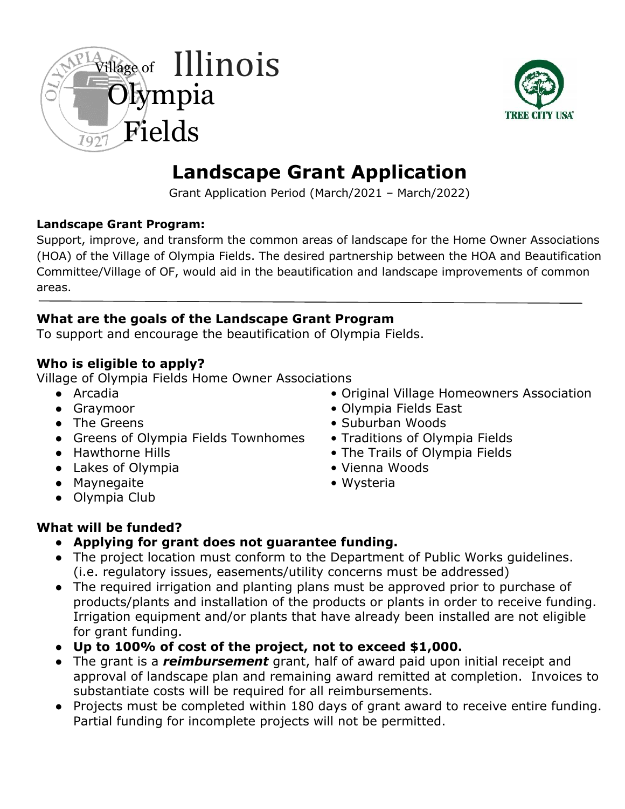



# **Landscape Grant Application**

Grant Application Period (March/2021 – March/2022)

#### **Landscape Grant Program:**

Support, improve, and transform the common areas of landscape for the Home Owner Associations (HOA) of the Village of Olympia Fields. The desired partnership between the HOA and Beautification Committee/Village of OF, would aid in the beautification and landscape improvements of common areas.

# **What are the goals of the Landscape Grant Program**

To support and encourage the beautification of Olympia Fields.

## **Who is eligible to apply?**

Village of Olympia Fields Home Owner Associations

- 
- 
- 
- Greens of Olympia Fields Townhomes Traditions of Olympia Fields
- 
- Lakes of Olympia Vienna Woods
- Maynegaite Wysteria
- Olympia Club
- Arcadia Original Village Homeowners Association
- Graymoor Olympia Fields East
- The Greens Suburban Woods
	-
- Hawthorne Hills The Trails of Olympia Fields
	-
	-

# **What will be funded?**

- **Applying for grant does not guarantee funding.**
- The project location must conform to the Department of Public Works guidelines. (i.e. regulatory issues, easements/utility concerns must be addressed)
- The required irrigation and planting plans must be approved prior to purchase of products/plants and installation of the products or plants in order to receive funding. Irrigation equipment and/or plants that have already been installed are not eligible for grant funding.
- **Up to 100% of cost of the project, not to exceed \$1,000.**
- The grant is a *reimbursement* grant, half of award paid upon initial receipt and approval of landscape plan and remaining award remitted at completion. Invoices to substantiate costs will be required for all reimbursements.
- Projects must be completed within 180 days of grant award to receive entire funding. Partial funding for incomplete projects will not be permitted.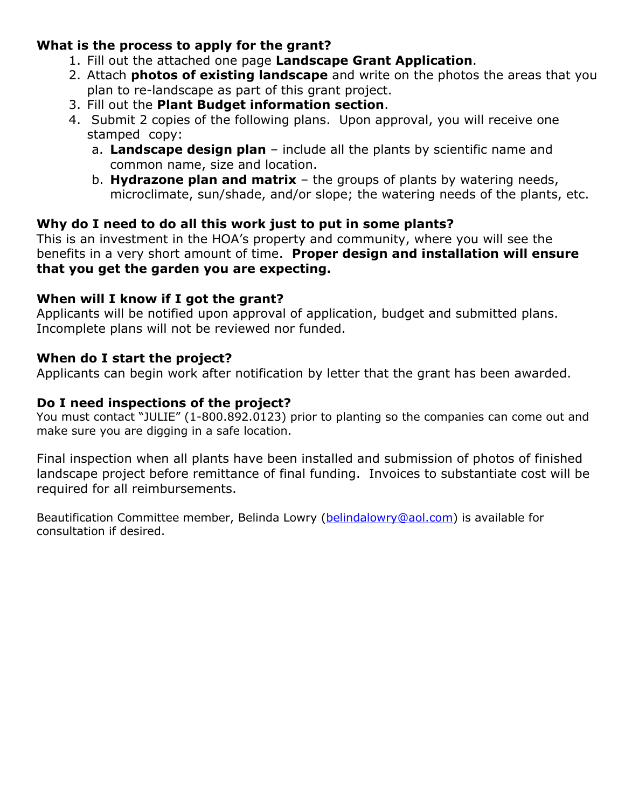#### **What is the process to apply for the grant?**

- 1. Fill out the attached one page **Landscape Grant Application**.
- 2. Attach **photos of existing landscape** and write on the photos the areas that you plan to re-landscape as part of this grant project.
- 3. Fill out the **Plant Budget information section**.
- 4. Submit 2 copies of the following plans. Upon approval, you will receive one stamped copy:
	- a. **Landscape design plan** include all the plants by scientific name and common name, size and location.
	- b. **Hydrazone plan and matrix**  the groups of plants by watering needs, microclimate, sun/shade, and/or slope; the watering needs of the plants, etc.

#### **Why do I need to do all this work just to put in some plants?**

This is an investment in the HOA's property and community, where you will see the benefits in a very short amount of time. **Proper design and installation will ensure that you get the garden you are expecting.** 

## **When will I know if I got the grant?**

Applicants will be notified upon approval of application, budget and submitted plans. Incomplete plans will not be reviewed nor funded.

## **When do I start the project?**

Applicants can begin work after notification by letter that the grant has been awarded.

#### **Do I need inspections of the project?**

You must contact "JULIE" (1-800.892.0123) prior to planting so the companies can come out and make sure you are digging in a safe location.

Final inspection when all plants have been installed and submission of photos of finished landscape project before remittance of final funding. Invoices to substantiate cost will be required for all reimbursements.

Beautification Committee member, Belinda Lowry (belindalowry@aol.com) is available for consultation if desired.